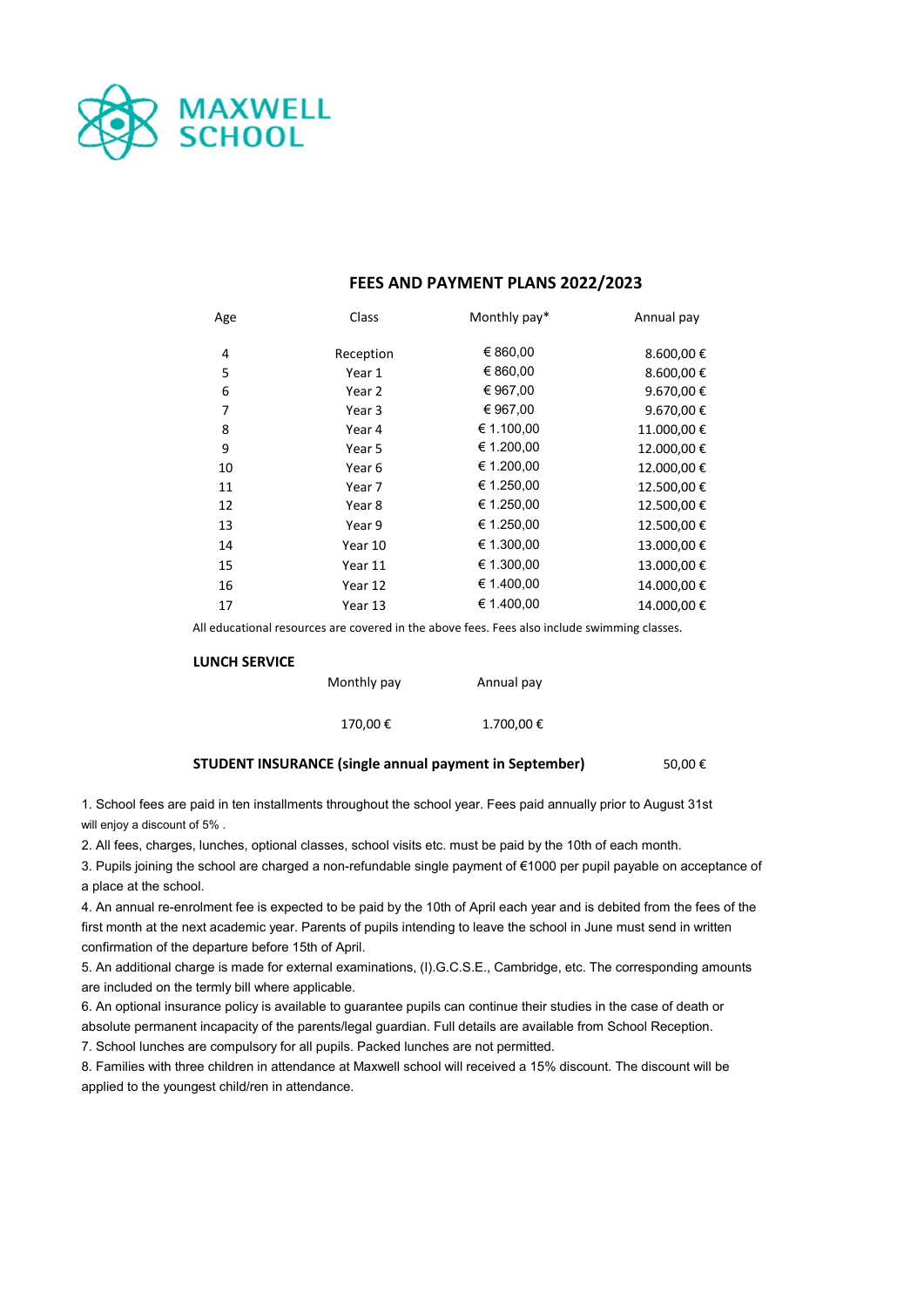

# **FEES AND PAYMENT PLANS 2022/2023**

| Age | Class     | Monthly pay* | Annual pay |
|-----|-----------|--------------|------------|
| 4   | Reception | € 860,00     | 8.600,00€  |
| 5   | Year 1    | € 860,00     | 8.600,00€  |
| 6   | Year 2    | € 967,00     | 9.670,00€  |
| 7   | Year 3    | € 967,00     | 9.670,00€  |
| 8   | Year 4    | € 1.100,00   | 11.000,00€ |
| 9   | Year 5    | € 1.200,00   | 12.000,00€ |
| 10  | Year 6    | € 1.200,00   | 12.000,00€ |
| 11  | Year 7    | € 1.250,00   | 12.500,00€ |
| 12  | Year 8    | € 1.250,00   | 12.500,00€ |
| 13  | Year 9    | € 1.250,00   | 12.500,00€ |
| 14  | Year 10   | € 1.300,00   | 13.000,00€ |
| 15  | Year 11   | € 1.300,00   | 13.000,00€ |
| 16  | Year 12   | € 1.400,00   | 14.000,00€ |
| 17  | Year 13   | € 1.400,00   | 14.000,00€ |

All educational resources are covered in the above fees. Fees also include swimming classes.

#### **LUNCH SERVICE**

| Monthly pay | Annual pay |  |  |
|-------------|------------|--|--|
| 170,00€     | 1.700,00€  |  |  |

### **STUDENT INSURANCE (single annual payment in September)** 50,00 €

1. School fees are paid in ten installments throughout the school year. Fees paid annually prior to August 31st will enjoy a discount of 5% .

2. All fees, charges, lunches, optional classes, school visits etc. must be paid by the 10th of each month.

3. Pupils joining the school are charged a non-refundable single payment of €1000 per pupil payable on acceptance of a place at the school.

4. An annual re-enrolment fee is expected to be paid by the 10th of April each year and is debited from the fees of the first month at the next academic year. Parents of pupils intending to leave the school in June must send in written confirmation of the departure before 15th of April.

5. An additional charge is made for external examinations, (I).G.C.S.E., Cambridge, etc. The corresponding amounts are included on the termly bill where applicable.

6. An optional insurance policy is available to guarantee pupils can continue their studies in the case of death or absolute permanent incapacity of the parents/legal guardian. Full details are available from School Reception.

7. School lunches are compulsory for all pupils. Packed lunches are not permitted.

8. Families with three children in attendance at Maxwell school will received a 15% discount. The discount will be applied to the youngest child/ren in attendance.